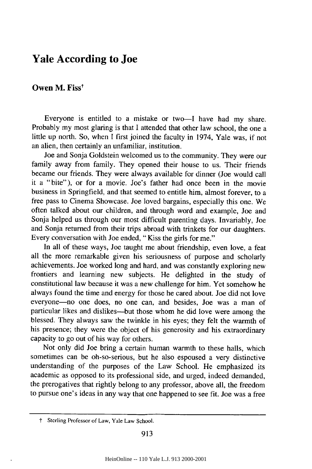## **Yale According to Joe**

## **Owen M. Fiss<sup>†</sup>**

Everyone is entitled to a mistake or two-I have had my share. Probably my most glaring is that I attended that other law school, the one a little up north. So, when I first joined the faculty in 1974, Yale was, if not an alien, then certainly an unfamiliar, institution.

Joe and Sonja Goldstein welcomed us to the community. They were our family away from family. They opened their house to us. Their friends became our friends. They were always available for dinner (Joe would call it a "bite"), or for a movie. Joe's father had once been in the movie business in Springfield, and that seemed to entitle him, almost forever, to a free pass to Cinema Showcase. Joe loved bargains, especially this one. We often talked about our children, and through word and example, Joe and Sonja helped us through our most difficult parenting days. Invariably, Joe and Sonja returned from their trips abroad with trinkets for our daughters. Every conversation with Joe ended, "Kiss the girls for me."

In all of these ways, Joe taught me about friendship, even love, a feat all the more remarkable given his seriousness of purpose and scholarly achievements. Joe worked long and hard, and was constantly exploring new frontiers and learning new subjects. He delighted in the study of constitutional law because it was a new challenge for him. Yet somehow he always found the time and energy for those he cared about. Joe did not love everyone-no one does, no one can, and besides, Joe was a man of particular likes and dislikes---but those whom he did love were among the blessed. They always saw the twinkle in his eyes; they felt the warmth of his presence; they were the object of his generosity and his extraordinary capacity to go out of his way for others.

Not only did Joe bring a certain human warmth to these halls, which sometimes can be oh-so-serious, but he also espoused a very distinctive understanding of the purposes of the Law School. He emphasized its academic as opposed to its professional side, and urged, indeed demanded, the prerogatives that rightly belong to any professor, above all, the freedom to pursue one's ideas in any way that one happened to see fit. Joe was a free

t Stcrling Professor of Law, Yale Law School.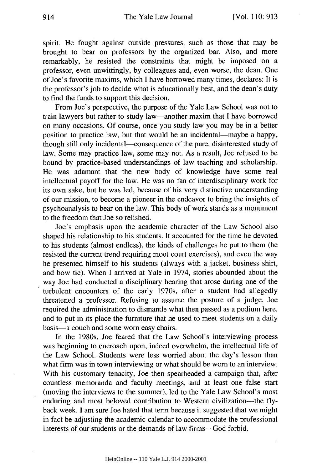spirit. He fought against outside pressures, such as those that may be brought to bear on professors by the organized bar. Also, and more remarkably, he resisted the constraints that might be imposed on a professor, even unwittingly, by colleagues and, even worse, the dean. One of Joe's favorite maxims, which I have borrowed many times, declares: It is the professor's job to decide what is educationally best, and the dean's duty to find the funds to support this decision.

From Joe's perspective, the purpose of the Yale Law School was not to train lawyers but rather to study law-another maxim that I have borrowed on many occasions. Of course, once you study law you may be in a better position to practice law, but that would be an incidental-maybe a happy, though still only incidental-consequence of the pure, disinterested study of law. Some may practice law, some may not. As a result, Joe refused to be bound by practice-based understandings of law teaching and scholarship. He was adamant that the new body of knowledge have some real intellectual payoff for the law. He was no fan of interdisciplinary work for its own sake, but he was led, because of his very distinctive understanding of our mission, to become a pioneer in the endeavor to bring the insights of psychoanalysis to bear on the law. This body of work stands as a monument to the freedom that Joe so relished.

Joe's emphasis upon the academic character of the Law School also shaped his relationship to his students. It accounted for the time he devoted to his students (almost endless), the kinds of challenges he put to them (he resisted the current trend requiring moot court exercises), and even the way he presented himself to his students (always with a jacket, business shirt, and bow tie). When **I** arrived at Yale in 1974, stories abounded about the way Joe had conducted a disciplinary hearing that arose during one of the turbulent encounters of the early 1970s, after a student had allegedly threatened a professor. Refusing to assume the posture of a judge, Joe required the administration to dismantle what then passed as a podium here, and to put in its place the furniture that he used to meet students on a daily basis-a couch and some worn easy chairs.

In the 1980s, Joe feared that the Law School's interviewing process was beginning to encroach upon, indeed overwhelm, the intellectual life of the Law School. Students were less worried about the day's lesson than what firm was in town interviewing or what should be worn to an interview. With his customary tenacity, Joe then spearheaded a campaign that, after countless memoranda and faculty meetings, and at least one false start (moving the interviews to the summer), led to the Yale Law School's most enduring and most beloved contribution to Western civilization---the flyback week. I am sure Joe hated that term because it suggested that we might in fact be adjusting the academic calendar to accommodate the professional interests of our students or the demands of law firms-God forbid.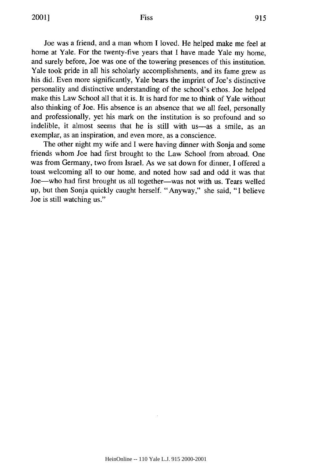Joe was a friend, and a man whom I loved. He helped make me feel at home at Yale. For the twenty-five years that I have made Yale my home, and surely before, Joe was one of the towering presences of this institution. Yale took pride in all his scholarly accomplishments, and its fame grew as his did. Even more significantly, Yale bears the imprint of Joe's distinctive personality and distinctive understanding of the school's ethos. Joe helped make this Law School all that it is. It is hard for me to think of Yale without also thinking of Joe. His absence is an absence that we all feel, personally and professionally, yet his mark on the institution is so profound and so indelible, it almost seems that he is still with us-as a smile, as an exemplar, as an inspiration, and even more, as a conscience.

The other night my wife and I were having dinner with Sonja and some friends whom Joe had first brought to the Law School from abroad. One was from Germany, two from Israel. As we sat down for dinner, I offered a toast welcoming all to our home, and noted how sad and odd it was that Joe-who had first brought us all together-was not with us. Tears welled up, but then Sonja quickly caught herself. "Anyway," she said, "I believe Joe is still watching us."